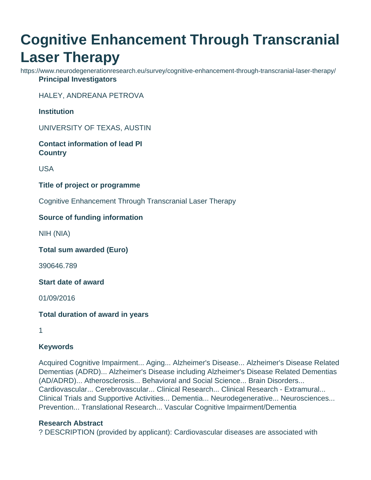# **Cognitive Enhancement Through Transcranial Laser Therapy**

https://www.neurodegenerationresearch.eu/survey/cognitive-enhancement-through-transcranial-laser-therapy/ **Principal Investigators**

HALEY, ANDREANA PETROVA

**Institution**

UNIVERSITY OF TEXAS, AUSTIN

**Contact information of lead PI Country**

USA

**Title of project or programme**

Cognitive Enhancement Through Transcranial Laser Therapy

## **Source of funding information**

NIH (NIA)

**Total sum awarded (Euro)**

390646.789

**Start date of award**

01/09/2016

**Total duration of award in years**

1

#### **Keywords**

Acquired Cognitive Impairment... Aging... Alzheimer's Disease... Alzheimer's Disease Related Dementias (ADRD)... Alzheimer's Disease including Alzheimer's Disease Related Dementias (AD/ADRD)... Atherosclerosis... Behavioral and Social Science... Brain Disorders... Cardiovascular... Cerebrovascular... Clinical Research... Clinical Research - Extramural... Clinical Trials and Supportive Activities... Dementia... Neurodegenerative... Neurosciences... Prevention... Translational Research... Vascular Cognitive Impairment/Dementia

#### **Research Abstract**

? DESCRIPTION (provided by applicant): Cardiovascular diseases are associated with